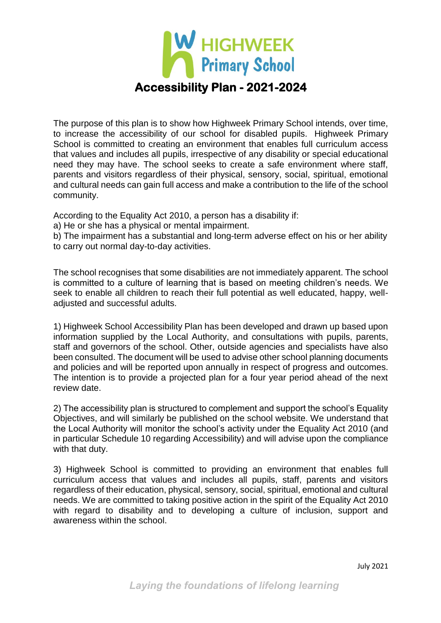

The purpose of this plan is to show how Highweek Primary School intends, over time, to increase the accessibility of our school for disabled pupils. Highweek Primary School is committed to creating an environment that enables full curriculum access that values and includes all pupils, irrespective of any disability or special educational need they may have. The school seeks to create a safe environment where staff, parents and visitors regardless of their physical, sensory, social, spiritual, emotional and cultural needs can gain full access and make a contribution to the life of the school community.

According to the Equality Act 2010, a person has a disability if:

a) He or she has a physical or mental impairment.

b) The impairment has a substantial and long-term adverse effect on his or her ability to carry out normal day-to-day activities.

The school recognises that some disabilities are not immediately apparent. The school is committed to a culture of learning that is based on meeting children's needs. We seek to enable all children to reach their full potential as well educated, happy, welladjusted and successful adults.

1) Highweek School Accessibility Plan has been developed and drawn up based upon information supplied by the Local Authority, and consultations with pupils, parents, staff and governors of the school. Other, outside agencies and specialists have also been consulted. The document will be used to advise other school planning documents and policies and will be reported upon annually in respect of progress and outcomes. The intention is to provide a projected plan for a four year period ahead of the next review date.

2) The accessibility plan is structured to complement and support the school's Equality Objectives, and will similarly be published on the school website. We understand that the Local Authority will monitor the school's activity under the Equality Act 2010 (and in particular Schedule 10 regarding Accessibility) and will advise upon the compliance with that duty.

3) Highweek School is committed to providing an environment that enables full curriculum access that values and includes all pupils, staff, parents and visitors regardless of their education, physical, sensory, social, spiritual, emotional and cultural needs. We are committed to taking positive action in the spirit of the Equality Act 2010 with regard to disability and to developing a culture of inclusion, support and awareness within the school.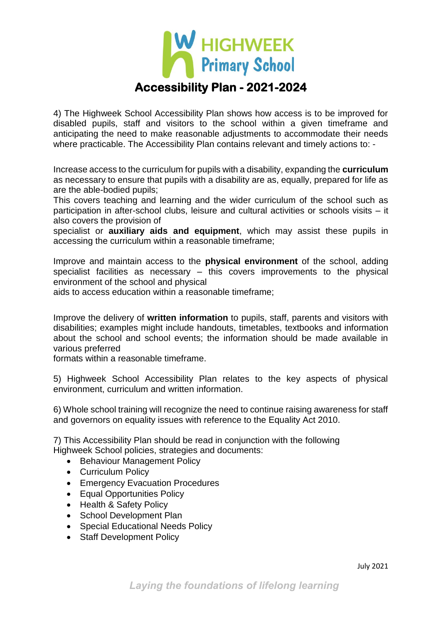

4) The Highweek School Accessibility Plan shows how access is to be improved for disabled pupils, staff and visitors to the school within a given timeframe and anticipating the need to make reasonable adjustments to accommodate their needs where practicable. The Accessibility Plan contains relevant and timely actions to: -

Increase access to the curriculum for pupils with a disability, expanding the **curriculum**  as necessary to ensure that pupils with a disability are as, equally, prepared for life as are the able-bodied pupils;

This covers teaching and learning and the wider curriculum of the school such as participation in after-school clubs, leisure and cultural activities or schools visits – it also covers the provision of

specialist or **auxiliary aids and equipment**, which may assist these pupils in accessing the curriculum within a reasonable timeframe;

Improve and maintain access to the **physical environment** of the school, adding specialist facilities as necessary – this covers improvements to the physical environment of the school and physical

aids to access education within a reasonable timeframe;

Improve the delivery of **written information** to pupils, staff, parents and visitors with disabilities; examples might include handouts, timetables, textbooks and information about the school and school events; the information should be made available in various preferred

formats within a reasonable timeframe.

5) Highweek School Accessibility Plan relates to the key aspects of physical environment, curriculum and written information.

6) Whole school training will recognize the need to continue raising awareness for staff and governors on equality issues with reference to the Equality Act 2010.

7) This Accessibility Plan should be read in conjunction with the following Highweek School policies, strategies and documents:

- Behaviour Management Policy
- Curriculum Policy
- Emergency Evacuation Procedures
- Equal Opportunities Policy
- Health & Safety Policy
- School Development Plan
- Special Educational Needs Policy
- Staff Development Policy

July 2021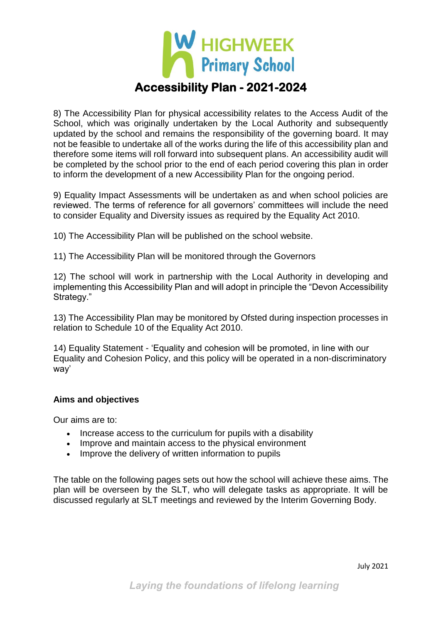

8) The Accessibility Plan for physical accessibility relates to the Access Audit of the School, which was originally undertaken by the Local Authority and subsequently updated by the school and remains the responsibility of the governing board. It may not be feasible to undertake all of the works during the life of this accessibility plan and therefore some items will roll forward into subsequent plans. An accessibility audit will be completed by the school prior to the end of each period covering this plan in order to inform the development of a new Accessibility Plan for the ongoing period.

9) Equality Impact Assessments will be undertaken as and when school policies are reviewed. The terms of reference for all governors' committees will include the need to consider Equality and Diversity issues as required by the Equality Act 2010.

10) The Accessibility Plan will be published on the school website.

11) The Accessibility Plan will be monitored through the Governors

12) The school will work in partnership with the Local Authority in developing and implementing this Accessibility Plan and will adopt in principle the "Devon Accessibility Strategy."

13) The Accessibility Plan may be monitored by Ofsted during inspection processes in relation to Schedule 10 of the Equality Act 2010.

14) Equality Statement - 'Equality and cohesion will be promoted, in line with our Equality and Cohesion Policy, and this policy will be operated in a non-discriminatory way'

#### **Aims and objectives**

Our aims are to:

- Increase access to the curriculum for pupils with a disability
- Improve and maintain access to the physical environment
- Improve the delivery of written information to pupils

The table on the following pages sets out how the school will achieve these aims. The plan will be overseen by the SLT, who will delegate tasks as appropriate. It will be discussed regularly at SLT meetings and reviewed by the Interim Governing Body.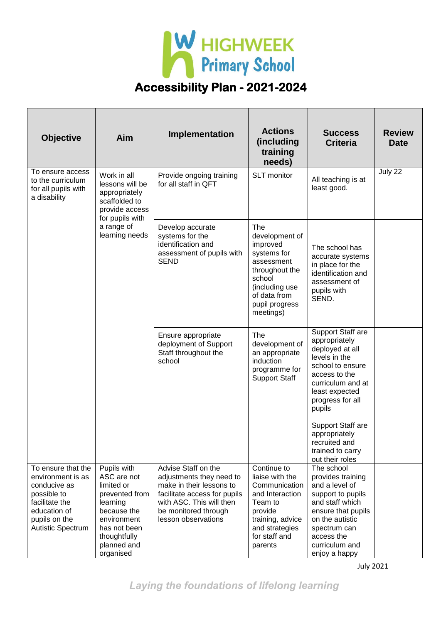

| <b>Objective</b>                                                                                                                                      | Aim                                                                                                                                                              | Implementation                                                                                                                                                                         | <b>Actions</b><br>(including<br>training<br>needs)                                                                                                          | <b>Success</b><br><b>Criteria</b>                                                                                                                                                                                      | <b>Review</b><br><b>Date</b> |
|-------------------------------------------------------------------------------------------------------------------------------------------------------|------------------------------------------------------------------------------------------------------------------------------------------------------------------|----------------------------------------------------------------------------------------------------------------------------------------------------------------------------------------|-------------------------------------------------------------------------------------------------------------------------------------------------------------|------------------------------------------------------------------------------------------------------------------------------------------------------------------------------------------------------------------------|------------------------------|
| To ensure access<br>to the curriculum<br>for all pupils with<br>a disability                                                                          | Work in all<br>lessons will be<br>appropriately<br>scaffolded to<br>provide access<br>for pupils with                                                            | Provide ongoing training<br>for all staff in QFT                                                                                                                                       | SLT monitor                                                                                                                                                 | All teaching is at<br>least good.                                                                                                                                                                                      | July 22                      |
|                                                                                                                                                       | a range of<br>learning needs                                                                                                                                     | Develop accurate<br>systems for the<br>identification and<br>assessment of pupils with<br><b>SEND</b>                                                                                  | The<br>development of<br>improved<br>systems for<br>assessment<br>throughout the<br>school<br>(including use<br>of data from<br>pupil progress<br>meetings) | The school has<br>accurate systems<br>in place for the<br>identification and<br>assessment of<br>pupils with<br>SEND.                                                                                                  |                              |
|                                                                                                                                                       |                                                                                                                                                                  | Ensure appropriate<br>deployment of Support<br>Staff throughout the<br>school                                                                                                          | The<br>development of<br>an appropriate<br>induction<br>programme for<br><b>Support Staff</b>                                                               | Support Staff are<br>appropriately<br>deployed at all<br>levels in the<br>school to ensure<br>access to the<br>curriculum and at<br>least expected<br>progress for all<br>pupils<br>Support Staff are<br>appropriately |                              |
|                                                                                                                                                       |                                                                                                                                                                  |                                                                                                                                                                                        |                                                                                                                                                             | recruited and<br>trained to carry<br>out their roles                                                                                                                                                                   |                              |
| To ensure that the<br>environment is as<br>conducive as<br>possible to<br>facilitate the<br>education of<br>pupils on the<br><b>Autistic Spectrum</b> | Pupils with<br>ASC are not<br>limited or<br>prevented from<br>learning<br>because the<br>environment<br>has not been<br>thoughtfully<br>planned and<br>organised | Advise Staff on the<br>adjustments they need to<br>make in their lessons to<br>facilitate access for pupils<br>with ASC. This will then<br>be monitored through<br>lesson observations | Continue to<br>liaise with the<br>Communication<br>and Interaction<br>Team to<br>provide<br>training, advice<br>and strategies<br>for staff and<br>parents  | The school<br>provides training<br>and a level of<br>support to pupils<br>and staff which<br>ensure that pupils<br>on the autistic<br>spectrum can<br>access the<br>curriculum and<br>enjoy a happy                    |                              |

July 2021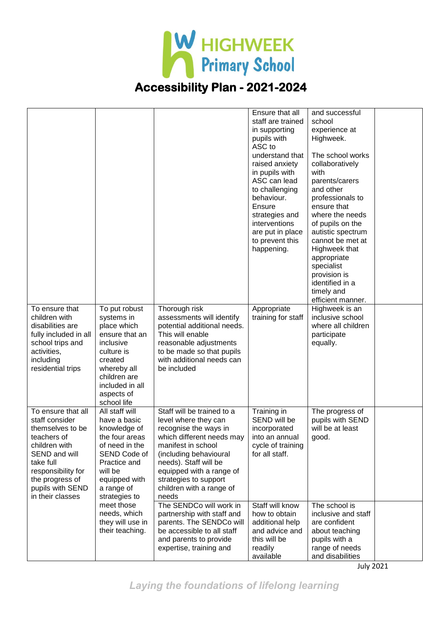

|                                                                                                                                                                                                         |                                                                                                                                                                                                                                                    |                                                                                                                                                                                                                                                                             | Ensure that all<br>staff are trained<br>in supporting<br>pupils with<br>ASC to<br>understand that<br>raised anxiety<br>in pupils with<br>ASC can lead<br>to challenging<br>behaviour.<br>Ensure<br>strategies and<br><i>interventions</i><br>are put in place<br>to prevent this<br>happening. | and successful<br>school<br>experience at<br>Highweek.<br>The school works<br>collaboratively<br>with<br>parents/carers<br>and other<br>professionals to<br>ensure that<br>where the needs<br>of pupils on the<br>autistic spectrum<br>cannot be met at<br>Highweek that<br>appropriate<br>specialist<br>provision is<br>identified in a<br>timely and<br>efficient manner. |                                                                                                                                |
|---------------------------------------------------------------------------------------------------------------------------------------------------------------------------------------------------------|----------------------------------------------------------------------------------------------------------------------------------------------------------------------------------------------------------------------------------------------------|-----------------------------------------------------------------------------------------------------------------------------------------------------------------------------------------------------------------------------------------------------------------------------|------------------------------------------------------------------------------------------------------------------------------------------------------------------------------------------------------------------------------------------------------------------------------------------------|-----------------------------------------------------------------------------------------------------------------------------------------------------------------------------------------------------------------------------------------------------------------------------------------------------------------------------------------------------------------------------|--------------------------------------------------------------------------------------------------------------------------------|
| To ensure that<br>children with<br>disabilities are<br>fully included in all<br>school trips and<br>activities,<br>including<br>residential trips                                                       | To put robust<br>systems in<br>place which<br>ensure that an<br>inclusive<br>culture is<br>created<br>whereby all<br>children are<br>included in all<br>aspects of<br>school life                                                                  | Thorough risk<br>assessments will identify<br>potential additional needs.<br>This will enable<br>reasonable adjustments<br>to be made so that pupils<br>with additional needs can<br>be included                                                                            | Appropriate<br>training for staff                                                                                                                                                                                                                                                              | Highweek is an<br>inclusive school<br>where all children<br>participate<br>equally.                                                                                                                                                                                                                                                                                         |                                                                                                                                |
| To ensure that all<br>staff consider<br>themselves to be<br>teachers of<br>children with<br>SEND and will<br>take full<br>responsibility for<br>the progress of<br>pupils with SEND<br>in their classes | All staff will<br>have a basic<br>knowledge of<br>the four areas<br>of need in the<br>SEND Code of<br>Practice and<br>will be<br>equipped with<br>a range of<br>strategies to<br>meet those<br>needs, which<br>they will use in<br>their teaching. | Staff will be trained to a<br>level where they can<br>recognise the ways in<br>which different needs may<br>manifest in school<br>(including behavioural<br>needs). Staff will be<br>equipped with a range of<br>strategies to support<br>children with a range of<br>needs | Training in<br>SEND will be<br>incorporated<br>into an annual<br>cycle of training<br>for all staff.                                                                                                                                                                                           | The progress of<br>pupils with SEND<br>will be at least<br>good.                                                                                                                                                                                                                                                                                                            |                                                                                                                                |
|                                                                                                                                                                                                         |                                                                                                                                                                                                                                                    |                                                                                                                                                                                                                                                                             | The SENDCo will work in<br>partnership with staff and<br>parents. The SENDCo will<br>be accessible to all staff<br>and parents to provide<br>expertise, training and                                                                                                                           | Staff will know<br>how to obtain<br>additional help<br>and advice and<br>this will be<br>readily<br>available                                                                                                                                                                                                                                                               | The school is<br>inclusive and staff<br>are confident<br>about teaching<br>pupils with a<br>range of needs<br>and disabilities |

July 2021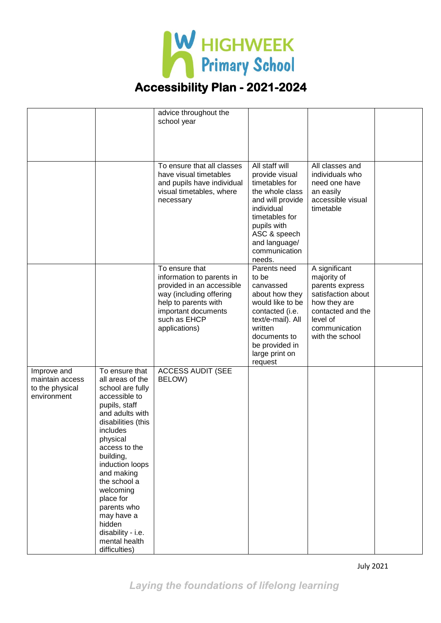

|                                                                  |                                                                                                                                                                                                                                                                                                                                                                  | advice throughout the<br>school year                                                                                                                                                |                                                                                                                                                                                                      |                                                                                                                                                            |  |
|------------------------------------------------------------------|------------------------------------------------------------------------------------------------------------------------------------------------------------------------------------------------------------------------------------------------------------------------------------------------------------------------------------------------------------------|-------------------------------------------------------------------------------------------------------------------------------------------------------------------------------------|------------------------------------------------------------------------------------------------------------------------------------------------------------------------------------------------------|------------------------------------------------------------------------------------------------------------------------------------------------------------|--|
|                                                                  |                                                                                                                                                                                                                                                                                                                                                                  | To ensure that all classes<br>have visual timetables<br>and pupils have individual<br>visual timetables, where<br>necessary                                                         | All staff will<br>provide visual<br>timetables for<br>the whole class<br>and will provide<br>individual<br>timetables for<br>pupils with<br>ASC & speech<br>and language/<br>communication<br>needs. | All classes and<br>individuals who<br>need one have<br>an easily<br>accessible visual<br>timetable                                                         |  |
|                                                                  |                                                                                                                                                                                                                                                                                                                                                                  | To ensure that<br>information to parents in<br>provided in an accessible<br>way (including offering<br>help to parents with<br>important documents<br>such as EHCP<br>applications) | Parents need<br>to be<br>canvassed<br>about how they<br>would like to be<br>contacted (i.e.<br>text/e-mail). All<br>written<br>documents to<br>be provided in<br>large print on<br>request           | A significant<br>majority of<br>parents express<br>satisfaction about<br>how they are<br>contacted and the<br>level of<br>communication<br>with the school |  |
| Improve and<br>maintain access<br>to the physical<br>environment | To ensure that<br>all areas of the<br>school are fully<br>accessible to<br>pupils, staff<br>and adults with<br>disabilities (this<br>includes<br>physical<br>access to the<br>building,<br>induction loops<br>and making<br>the school a<br>welcoming<br>place for<br>parents who<br>may have a<br>hidden<br>disability - i.e.<br>mental health<br>difficulties) | <b>ACCESS AUDIT (SEE</b><br>BELOW)                                                                                                                                                  |                                                                                                                                                                                                      |                                                                                                                                                            |  |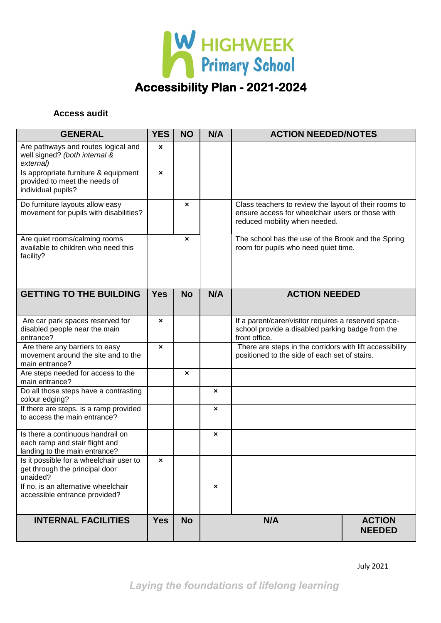

#### **Access audit**

| <b>GENERAL</b>                                                                                       | <b>YES</b>         | <b>NO</b> | N/A                                   | <b>ACTION NEEDED/NOTES</b>                                                                                                                 |  |
|------------------------------------------------------------------------------------------------------|--------------------|-----------|---------------------------------------|--------------------------------------------------------------------------------------------------------------------------------------------|--|
| Are pathways and routes logical and<br>well signed? (both internal &<br>external)                    | $\pmb{\mathsf{x}}$ |           |                                       |                                                                                                                                            |  |
| Is appropriate furniture & equipment<br>provided to meet the needs of<br>individual pupils?          | $\pmb{\times}$     |           |                                       |                                                                                                                                            |  |
| Do furniture layouts allow easy<br>movement for pupils with disabilities?                            |                    | ×         |                                       | Class teachers to review the layout of their rooms to<br>ensure access for wheelchair users or those with<br>reduced mobility when needed. |  |
| Are quiet rooms/calming rooms<br>available to children who need this<br>facility?                    |                    | ×         |                                       | The school has the use of the Brook and the Spring<br>room for pupils who need quiet time.                                                 |  |
| <b>GETTING TO THE BUILDING</b>                                                                       | <b>Yes</b>         | <b>No</b> | N/A                                   | <b>ACTION NEEDED</b>                                                                                                                       |  |
| Are car park spaces reserved for<br>disabled people near the main<br>entrance?                       | ×                  |           |                                       | If a parent/carer/visitor requires a reserved space-<br>school provide a disabled parking badge from the<br>front office.                  |  |
| Are there any barriers to easy<br>movement around the site and to the<br>main entrance?              | $\pmb{\times}$     |           |                                       | There are steps in the corridors with lift accessibility<br>positioned to the side of each set of stairs.                                  |  |
| Are steps needed for access to the<br>main entrance?                                                 |                    | ×         |                                       |                                                                                                                                            |  |
| Do all those steps have a contrasting<br>colour edging?                                              |                    |           | $\pmb{\times}$                        |                                                                                                                                            |  |
| If there are steps, is a ramp provided<br>to access the main entrance?                               |                    |           | $\pmb{\times}$                        |                                                                                                                                            |  |
| Is there a continuous handrail on<br>each ramp and stair flight and<br>landing to the main entrance? |                    |           | ×                                     |                                                                                                                                            |  |
| Is it possible for a wheelchair user to<br>get through the principal door<br>unaided?                | ×                  |           |                                       |                                                                                                                                            |  |
| If no, is an alternative wheelchair<br>accessible entrance provided?                                 |                    |           | $\boldsymbol{\mathsf{x}}$             |                                                                                                                                            |  |
| <b>INTERNAL FACILITIES</b>                                                                           | <b>Yes</b>         | <b>No</b> | <b>ACTION</b><br>N/A<br><b>NEEDED</b> |                                                                                                                                            |  |

July 2021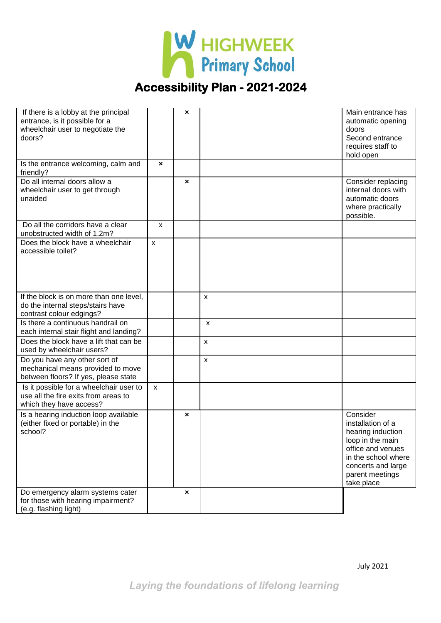

| If there is a lobby at the principal<br>entrance, is it possible for a<br>wheelchair user to negotiate the<br>doors? |                    | × |                    | Main entrance has<br>automatic opening<br>doors<br>Second entrance<br>requires staff to<br>hold open                                                                      |
|----------------------------------------------------------------------------------------------------------------------|--------------------|---|--------------------|---------------------------------------------------------------------------------------------------------------------------------------------------------------------------|
| Is the entrance welcoming, calm and<br>friendly?                                                                     | ×                  |   |                    |                                                                                                                                                                           |
| Do all internal doors allow a<br>wheelchair user to get through<br>unaided                                           |                    | × |                    | Consider replacing<br>internal doors with<br>automatic doors<br>where practically<br>possible.                                                                            |
| Do all the corridors have a clear<br>unobstructed width of 1.2m?                                                     | $\pmb{\mathsf{X}}$ |   |                    |                                                                                                                                                                           |
| Does the block have a wheelchair<br>accessible toilet?                                                               | $\mathsf{x}$       |   |                    |                                                                                                                                                                           |
| If the block is on more than one level,<br>do the internal steps/stairs have<br>contrast colour edgings?             |                    |   | $\pmb{\times}$     |                                                                                                                                                                           |
| Is there a continuous handrail on<br>each internal stair flight and landing?                                         |                    |   | X                  |                                                                                                                                                                           |
| Does the block have a lift that can be<br>used by wheelchair users?                                                  |                    |   | $\pmb{\mathsf{X}}$ |                                                                                                                                                                           |
| Do you have any other sort of<br>mechanical means provided to move<br>between floors? If yes, please state           |                    |   | $\pmb{\times}$     |                                                                                                                                                                           |
| Is it possible for a wheelchair user to<br>use all the fire exits from areas to<br>which they have access?           | $\pmb{\mathsf{x}}$ |   |                    |                                                                                                                                                                           |
| Is a hearing induction loop available<br>(either fixed or portable) in the<br>school?                                |                    | × |                    | Consider<br>installation of a<br>hearing induction<br>loop in the main<br>office and venues<br>in the school where<br>concerts and large<br>parent meetings<br>take place |
| Do emergency alarm systems cater<br>for those with hearing impairment?<br>(e.g. flashing light)                      |                    | × |                    |                                                                                                                                                                           |